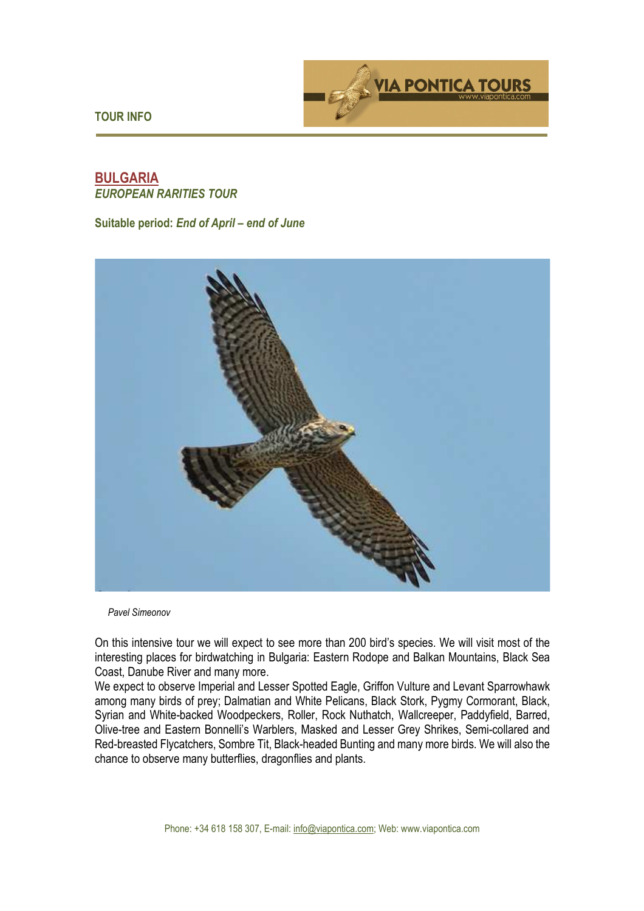

**TOUR INFO** 

# **BULGARIA**  *EUROPEAN RARITIES TOUR*

**Suitable period:** *End of April – end of June* 



*Pavel Simeonov*

On this intensive tour we will expect to see more than 200 bird's species. We will visit most of the interesting places for birdwatching in Bulgaria: Eastern Rodope and Balkan Mountains, Black Sea Coast, Danube River and many more.

We expect to observe Imperial and Lesser Spotted Eagle, Griffon Vulture and Levant Sparrowhawk among many birds of prey; Dalmatian and White Pelicans, Black Stork, Pygmy Cormorant, Black, Syrian and White-backed Woodpeckers, Roller, Rock Nuthatch, Wallcreeper, Paddyfield, Barred, Olive-tree and Eastern Bonnelli's Warblers, Masked and Lesser Grey Shrikes, Semi-collared and Red-breasted Flycatchers, Sombre Tit, Black-headed Bunting and many more birds. We will also the chance to observe many butterflies, dragonflies and plants.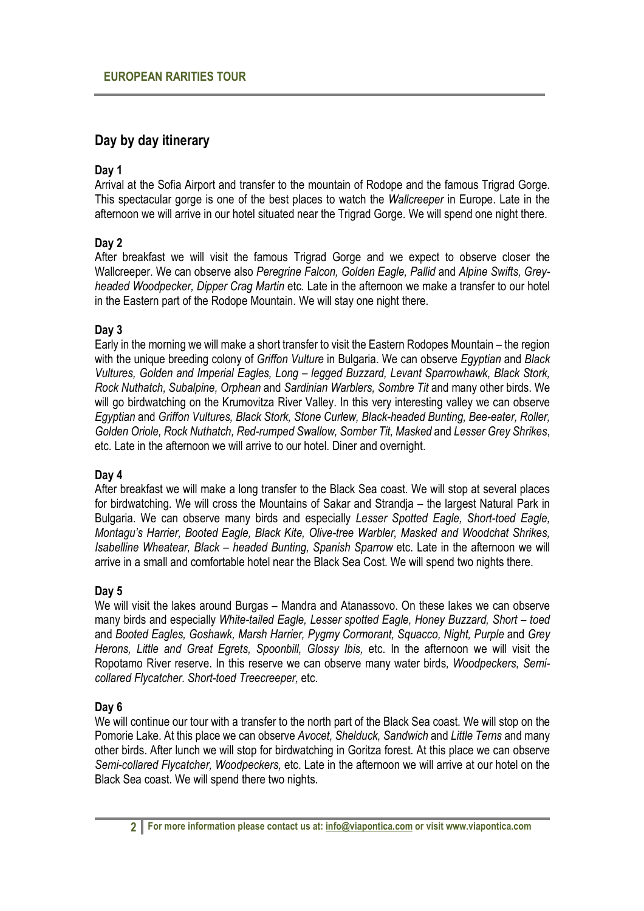# **Day by day itinerary**

# **Day 1**

Arrival at the Sofia Airport and transfer to the mountain of Rodope and the famous Trigrad Gorge. This spectacular gorge is one of the best places to watch the *Wallcreeper* in Europe. Late in the afternoon we will arrive in our hotel situated near the Trigrad Gorge. We will spend one night there.

# **Day 2**

After breakfast we will visit the famous Trigrad Gorge and we expect to observe closer the Wallcreeper. We can observe also *Peregrine Falcon, Golden Eagle, Pallid* and *Alpine Swifts, Greyheaded Woodpecker, Dipper Crag Martin* etc. Late in the afternoon we make a transfer to our hotel in the Eastern part of the Rodope Mountain. We will stay one night there.

# **Day 3**

Early in the morning we will make a short transfer to visit the Eastern Rodopes Mountain – the region with the unique breeding colony of *Griffon Vulture* in Bulgaria. We can observe *Egyptian* and *Black Vultures, Golden and Imperial Eagles, Long – legged Buzzard, Levant Sparrowhawk, Black Stork, Rock Nuthatch, Subalpine, Orphean* and *Sardinian Warblers, Sombre Tit* and many other birds. We will go birdwatching on the Krumovitza River Valley. In this very interesting valley we can observe *Egyptian* and *Griffon Vultures, Black Stork, Stone Curlew, Black-headed Bunting, Bee-eater, Roller, Golden Oriole, Rock Nuthatch, Red-rumped Swallow, Somber Tit, Masked* and *Lesser Grey Shrikes*, etc. Late in the afternoon we will arrive to our hotel. Diner and overnight.

#### **Day 4**

After breakfast we will make a long transfer to the Black Sea coast. We will stop at several places for birdwatching. We will cross the Mountains of Sakar and Strandja – the largest Natural Park in Bulgaria. We can observe many birds and especially *Lesser Spotted Eagle, Short-toed Eagle, Montagu's Harrier, Booted Eagle, Black Kite, Olive-tree Warbler, Masked and Woodchat Shrikes, Isabelline Wheatear, Black – headed Bunting, Spanish Sparrow etc. Late in the afternoon we will* arrive in a small and comfortable hotel near the Black Sea Cost. We will spend two nights there.

#### **Day 5**

We will visit the lakes around Burgas – Mandra and Atanassovo. On these lakes we can observe many birds and especially *White-tailed Eagle, Lesser spotted Eagle, Honey Buzzard, Short – toed*  and Booted Eagles, Goshawk, Marsh Harrier, Pygmy Cormorant, Squacco, Night, Purple and Grey *Herons, Little and Great Egrets, Spoonbill, Glossy Ibis,* etc. In the afternoon we will visit the Ropotamo River reserve. In this reserve we can observe many water birds*, Woodpeckers, Semicollared Flycatcher. Short-toed Treecreeper,* etc.

#### **Day 6**

We will continue our tour with a transfer to the north part of the Black Sea coast. We will stop on the Pomorie Lake. At this place we can observe *Avocet, Shelduck, Sandwich* and *Little Terns* and many other birds. After lunch we will stop for birdwatching in Goritza forest. At this place we can observe *Semi-collared Flycatcher, Woodpeckers,* etc. Late in the afternoon we will arrive at our hotel on the Black Sea coast. We will spend there two nights.